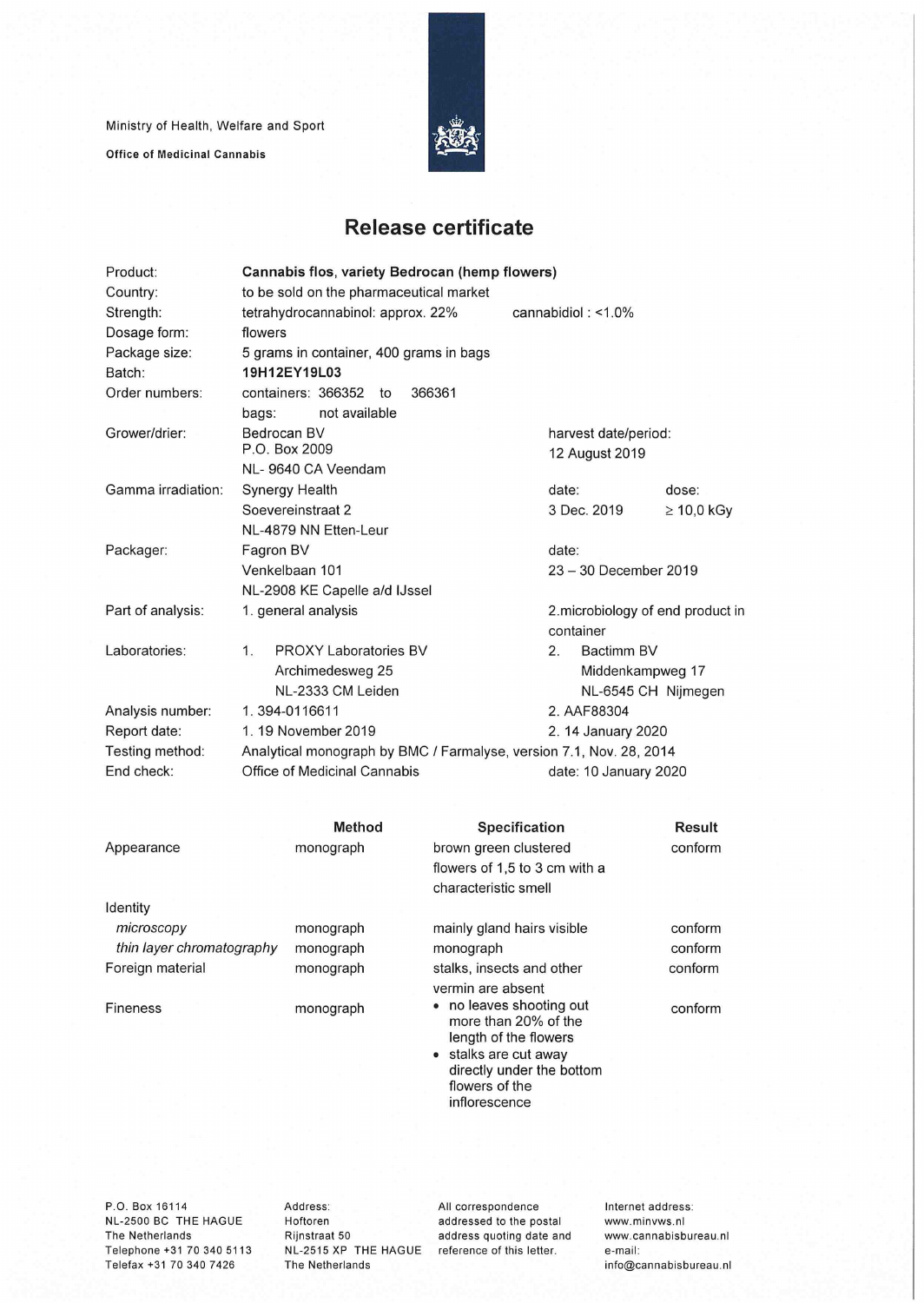Ministry of Health, Welfare and Sport

**Office of Medicinal Cannabis** 



## **Release certificate**

| Product:           | Cannabis flos, variety Bedrocan (hemp flowers)                      |                                   |  |  |  |  |
|--------------------|---------------------------------------------------------------------|-----------------------------------|--|--|--|--|
| Country:           | to be sold on the pharmaceutical market                             |                                   |  |  |  |  |
| Strength:          | tetrahydrocannabinol: approx. 22%                                   | cannabidiol: $<$ 1.0%             |  |  |  |  |
| Dosage form:       | flowers                                                             |                                   |  |  |  |  |
| Package size:      | 5 grams in container, 400 grams in bags                             |                                   |  |  |  |  |
| Batch:             | 19H12EY19L03                                                        |                                   |  |  |  |  |
| Order numbers:     | containers: 366352<br>366361<br>to                                  |                                   |  |  |  |  |
|                    | not available<br>bags:                                              |                                   |  |  |  |  |
| Grower/drier:      | Bedrocan BV                                                         | harvest date/period:              |  |  |  |  |
|                    | P.O. Box 2009                                                       | 12 August 2019                    |  |  |  |  |
|                    | NL-9640 CA Veendam                                                  |                                   |  |  |  |  |
| Gamma irradiation: | Synergy Health                                                      | date:<br>dose:                    |  |  |  |  |
|                    | Soevereinstraat 2                                                   | 3 Dec. 2019<br>$\geq 10,0$ kGy    |  |  |  |  |
|                    | NL-4879 NN Etten-Leur                                               |                                   |  |  |  |  |
| Packager:          | Fagron BV                                                           | date:                             |  |  |  |  |
|                    | Venkelbaan 101                                                      | 23 - 30 December 2019             |  |  |  |  |
|                    | NL-2908 KE Capelle a/d IJssel                                       |                                   |  |  |  |  |
| Part of analysis:  | 1. general analysis                                                 | 2. microbiology of end product in |  |  |  |  |
|                    |                                                                     | container                         |  |  |  |  |
| Laboratories:      | <b>PROXY Laboratories BV</b><br>1 <sub>1</sub>                      | Bactimm BV<br>2.                  |  |  |  |  |
|                    | Archimedesweg 25                                                    | Middenkampweg 17                  |  |  |  |  |
|                    | NL-2333 CM Leiden                                                   | NL-6545 CH Nijmegen               |  |  |  |  |
| Analysis number:   | 1.394-0116611                                                       | 2. AAF88304                       |  |  |  |  |
| Report date:       | 1.19 November 2019<br>2. 14 January 2020                            |                                   |  |  |  |  |
| Testing method:    | Analytical monograph by BMC / Farmalyse, version 7.1, Nov. 28, 2014 |                                   |  |  |  |  |
| End check:         | Office of Medicinal Cannabis                                        | date: 10 January 2020             |  |  |  |  |
|                    |                                                                     |                                   |  |  |  |  |

|                           | Method    | Specification                                                                                                                                                    | Result  |
|---------------------------|-----------|------------------------------------------------------------------------------------------------------------------------------------------------------------------|---------|
| Appearance                | monograph | brown green clustered                                                                                                                                            | conform |
|                           |           | flowers of 1,5 to 3 cm with a                                                                                                                                    |         |
|                           |           | characteristic smell                                                                                                                                             |         |
| Identity                  |           |                                                                                                                                                                  |         |
| microscopy                | monograph | mainly gland hairs visible                                                                                                                                       | conform |
| thin layer chromatography | monograph | monograph                                                                                                                                                        | conform |
| Foreign material          | monograph | stalks, insects and other                                                                                                                                        | conform |
|                           |           | vermin are absent                                                                                                                                                |         |
| <b>Fineness</b>           | monograph | • no leaves shooting out<br>more than 20% of the<br>length of the flowers<br>stalks are cut away<br>directly under the bottom<br>flowers of the<br>inflorescence | conform |
|                           |           |                                                                                                                                                                  |         |

P.O. Box 16114 NL-2500 BC THE HAGUE The Netherlands Telephone +31 70 340 5113 Telefax +31 70 340 7426

Address: Hoftoren Rijnstraat 50 NL-2515 XP THE HAGUE reference of this letter. The Netherlands

All correspondence addressed to the postai address quoting date and Internet address: www.minvws.n1 www.cannabisbureau.n1 e-mail: info@cannabisbureau.nl